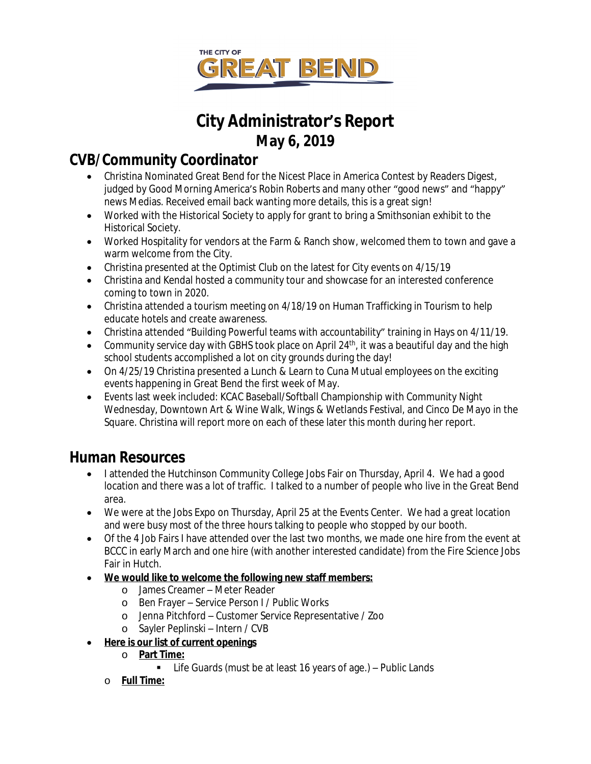

# **City Administrator's Report May 6, 2019**

## **CVB/Community Coordinator**

- Christina Nominated Great Bend for the Nicest Place in America Contest by Readers Digest, judged by Good Morning America's Robin Roberts and many other "good news" and "happy" news Medias. Received email back wanting more details, this is a great sign!
- Worked with the Historical Society to apply for grant to bring a Smithsonian exhibit to the Historical Society.
- Worked Hospitality for vendors at the Farm & Ranch show, welcomed them to town and gave a warm welcome from the City.
- Christina presented at the Optimist Club on the latest for City events on 4/15/19
- Christina and Kendal hosted a community tour and showcase for an interested conference coming to town in 2020.
- Christina attended a tourism meeting on 4/18/19 on Human Trafficking in Tourism to help educate hotels and create awareness.
- Christina attended "Building Powerful teams with accountability" training in Hays on 4/11/19.
- Community service day with GBHS took place on April 24<sup>th</sup>, it was a beautiful day and the high school students accomplished a lot on city grounds during the day!
- On 4/25/19 Christina presented a Lunch & Learn to Cuna Mutual employees on the exciting events happening in Great Bend the first week of May.
- Events last week included: KCAC Baseball/Softball Championship with Community Night Wednesday, Downtown Art & Wine Walk, Wings & Wetlands Festival, and Cinco De Mayo in the Square. Christina will report more on each of these later this month during her report.

## **Human Resources**

- I attended the Hutchinson Community College Jobs Fair on Thursday, April 4. We had a good location and there was a lot of traffic. I talked to a number of people who live in the Great Bend area.
- We were at the Jobs Expo on Thursday, April 25 at the Events Center. We had a great location and were busy most of the three hours talking to people who stopped by our booth.
- Of the 4 Job Fairs I have attended over the last two months, we made one hire from the event at BCCC in early March and one hire (with another interested candidate) from the Fire Science Jobs Fair in Hutch.
- **We would like to welcome the following new staff members:**
	- o James Creamer Meter Reader
	- o Ben Frayer Service Person I / Public Works
	- o Jenna Pitchford Customer Service Representative / Zoo
	- o Sayler Peplinski Intern / CVB
- **Here is our list of current openings**
	- o **Part Time:**
		- Life Guards (must be at least 16 years of age.) Public Lands
	- o **Full Time:**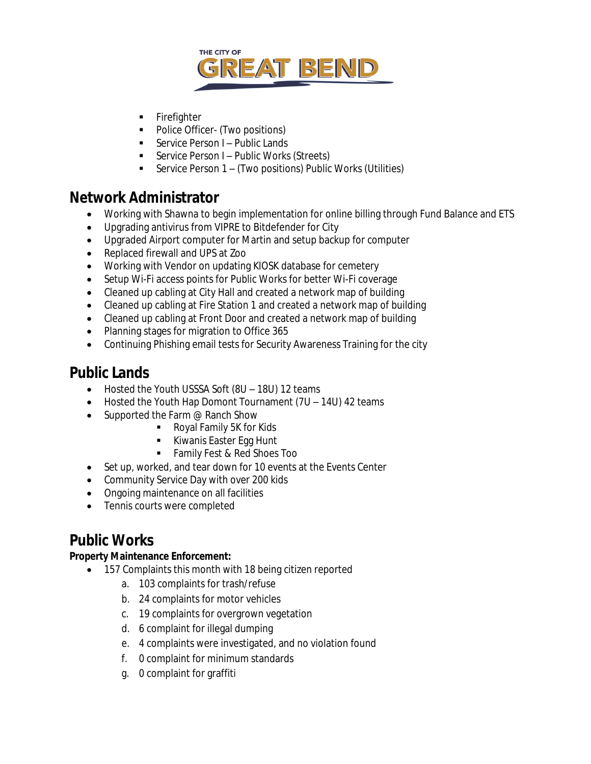

- **Firefighter**
- Police Officer- (Two positions)
- Service Person I Public Lands
- Service Person I Public Works (Streets)
- Service Person 1 (Two positions) Public Works (Utilities)

## **Network Administrator**

- Working with Shawna to begin implementation for online billing through Fund Balance and ETS
- Upgrading antivirus from VIPRE to Bitdefender for City
- Upgraded Airport computer for Martin and setup backup for computer
- Replaced firewall and UPS at Zoo
- Working with Vendor on updating KIOSK database for cemetery
- Setup Wi-Fi access points for Public Works for better Wi-Fi coverage
- Cleaned up cabling at City Hall and created a network map of building
- Cleaned up cabling at Fire Station 1 and created a network map of building
- Cleaned up cabling at Front Door and created a network map of building
- Planning stages for migration to Office 365
- Continuing Phishing email tests for Security Awareness Training for the city

## **Public Lands**

- Hosted the Youth USSSA Soft (8U 18U) 12 teams
- Hosted the Youth Hap Domont Tournament (7U 14U) 42 teams
- Supported the Farm @ Ranch Show
	- Royal Family 5K for Kids
	- Kiwanis Easter Egg Hunt
	- **Family Fest & Red Shoes Too**
- Set up, worked, and tear down for 10 events at the Events Center
- Community Service Day with over 200 kids
- Ongoing maintenance on all facilities
- Tennis courts were completed

## **Public Works**

#### **Property Maintenance Enforcement:**

- 157 Complaints this month with 18 being citizen reported
	- a. 103 complaints for trash/refuse
	- b. 24 complaints for motor vehicles
	- c. 19 complaints for overgrown vegetation
	- d. 6 complaint for illegal dumping
	- e. 4 complaints were investigated, and no violation found
	- f. 0 complaint for minimum standards
	- g. 0 complaint for graffiti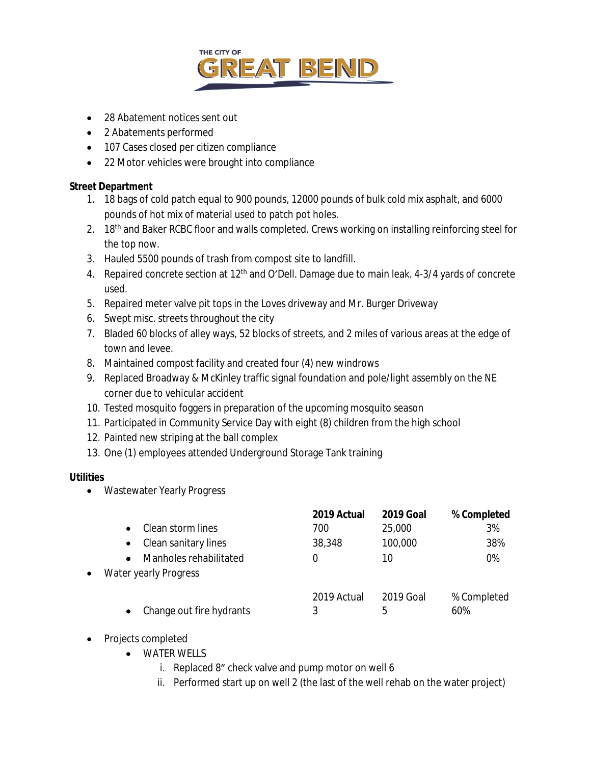

- 28 Abatement notices sent out
- 2 Abatements performed
- 107 Cases closed per citizen compliance
- 22 Motor vehicles were brought into compliance

#### **Street Department**

- 1. 18 bags of cold patch equal to 900 pounds, 12000 pounds of bulk cold mix asphalt, and 6000 pounds of hot mix of material used to patch pot holes.
- 2. 18<sup>th</sup> and Baker RCBC floor and walls completed. Crews working on installing reinforcing steel for the top now.
- 3. Hauled 5500 pounds of trash from compost site to landfill.
- 4. Repaired concrete section at 12<sup>th</sup> and O'Dell. Damage due to main leak. 4-3/4 yards of concrete used.
- 5. Repaired meter valve pit tops in the Loves driveway and Mr. Burger Driveway
- 6. Swept misc. streets throughout the city
- 7. Bladed 60 blocks of alley ways, 52 blocks of streets, and 2 miles of various areas at the edge of town and levee.
- 8. Maintained compost facility and created four (4) new windrows
- 9. Replaced Broadway & McKinley traffic signal foundation and pole/light assembly on the NE corner due to vehicular accident
- 10. Tested mosquito foggers in preparation of the upcoming mosquito season
- 11. Participated in Community Service Day with eight (8) children from the high school
- 12. Painted new striping at the ball complex
- 13. One (1) employees attended Underground Storage Tank training

#### **Utilities**

Wastewater Yearly Progress

|                                    | 2019 Actual | <b>2019 Goal</b> | % Completed |
|------------------------------------|-------------|------------------|-------------|
| Clean storm lines                  | 700         | 25,000           | 3%          |
| Clean sanitary lines<br>$\bullet$  | 38,348      | 100,000          | 38%         |
| Manholes rehabilitated             | 0           | 10               | 0%          |
| Water yearly Progress<br>$\bullet$ |             |                  |             |
|                                    | 2019 Actual | 2019 Goal        | % Completed |
| Change out fire hydrants           | 3           | 5                | 60%         |
|                                    |             |                  |             |

- Projects completed
	- WATER WELLS
		- i. Replaced 8" check valve and pump motor on well 6
		- ii. Performed start up on well 2 (the last of the well rehab on the water project)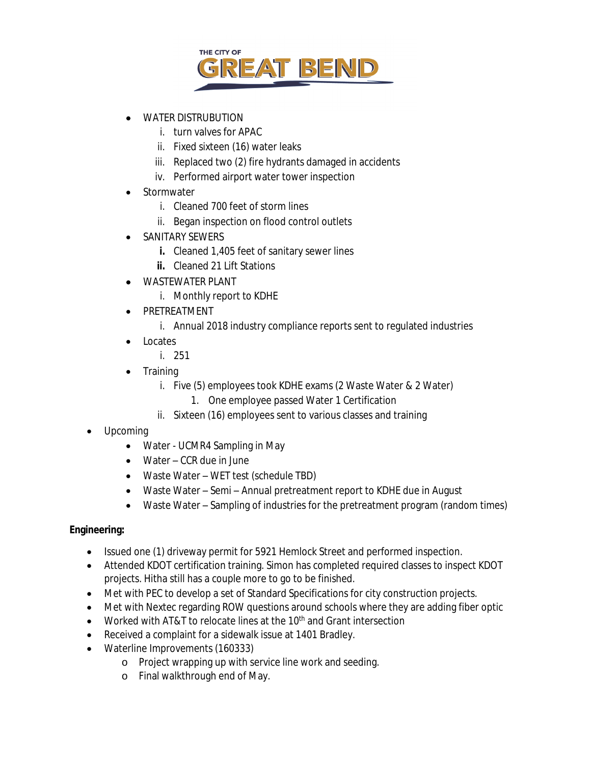

- WATER DISTRUBUTION
	- i. turn valves for APAC
	- ii. Fixed sixteen (16) water leaks
	- iii. Replaced two (2) fire hydrants damaged in accidents
	- iv. Performed airport water tower inspection
- Stormwater
	- i. Cleaned 700 feet of storm lines
	- ii. Began inspection on flood control outlets
- SANITARY SEWERS
	- **i.** Cleaned 1,405 feet of sanitary sewer lines
	- **ii.** Cleaned 21 Lift Stations
- WASTEWATER PLANT
	- i. Monthly report to KDHE
- PRETREATMENT
	- i. Annual 2018 industry compliance reports sent to regulated industries
- Locates
	- i. 251
- Training
	- i. Five (5) employees took KDHE exams (2 Waste Water & 2 Water)
		- 1. One employee passed Water 1 Certification
	- ii. Sixteen (16) employees sent to various classes and training
- Upcoming
	- Water UCMR4 Sampling in May
	- Water CCR due in June
	- Waste Water WET test (schedule TBD)
	- Waste Water Semi Annual pretreatment report to KDHE due in August
	- Waste Water Sampling of industries for the pretreatment program (random times)

#### **Engineering:**

- Issued one (1) driveway permit for 5921 Hemlock Street and performed inspection.
- Attended KDOT certification training. Simon has completed required classes to inspect KDOT projects. Hitha still has a couple more to go to be finished.
- Met with PEC to develop a set of Standard Specifications for city construction projects.
- Met with Nextec regarding ROW questions around schools where they are adding fiber optic
- Worked with AT&T to relocate lines at the 10<sup>th</sup> and Grant intersection
- Received a complaint for a sidewalk issue at 1401 Bradley.
- Waterline Improvements (160333)
	- o Project wrapping up with service line work and seeding.
	- o Final walkthrough end of May.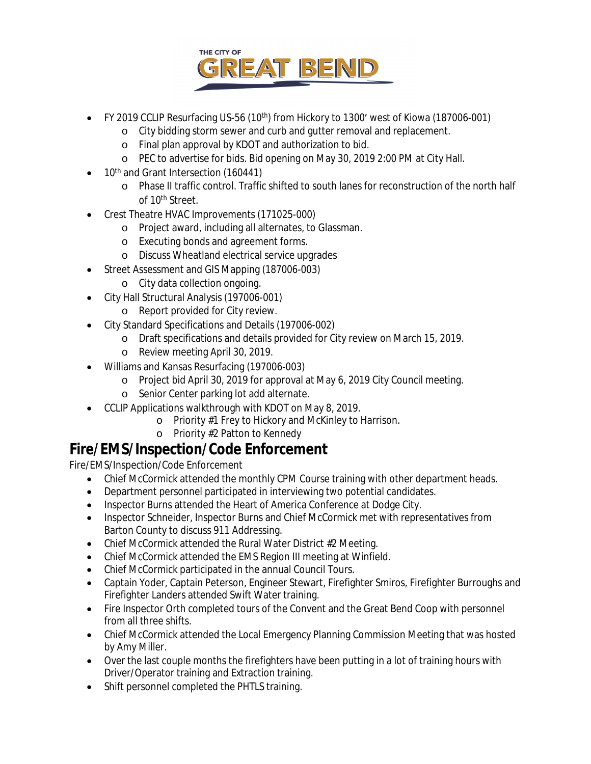

- FY 2019 CCLIP Resurfacing US-56 (10<sup>th</sup>) from Hickory to 1300' west of Kiowa (187006-001)
	- o City bidding storm sewer and curb and gutter removal and replacement.
	- o Final plan approval by KDOT and authorization to bid.
	- o PEC to advertise for bids. Bid opening on May 30, 2019 2:00 PM at City Hall.
- 10<sup>th</sup> and Grant Intersection (160441)
	- o Phase II traffic control. Traffic shifted to south lanes for reconstruction of the north half of 10<sup>th</sup> Street.
- Crest Theatre HVAC Improvements (171025-000)
	- o Project award, including all alternates, to Glassman.
	- o Executing bonds and agreement forms.
	- o Discuss Wheatland electrical service upgrades
- Street Assessment and GIS Mapping (187006-003)
	- o City data collection ongoing.
- City Hall Structural Analysis (197006-001)
	- o Report provided for City review.
- City Standard Specifications and Details (197006-002)
	- o Draft specifications and details provided for City review on March 15, 2019.
	- o Review meeting April 30, 2019.
- Williams and Kansas Resurfacing (197006-003)
	- o Project bid April 30, 2019 for approval at May 6, 2019 City Council meeting.
	- o Senior Center parking lot add alternate.
- CCLIP Applications walkthrough with KDOT on May 8, 2019.
	- o Priority #1 Frey to Hickory and McKinley to Harrison.
	- o Priority #2 Patton to Kennedy

### **Fire/EMS/Inspection/Code Enforcement**

Fire/EMS/Inspection/Code Enforcement

- Chief McCormick attended the monthly CPM Course training with other department heads.
- Department personnel participated in interviewing two potential candidates.
- Inspector Burns attended the Heart of America Conference at Dodge City.
- Inspector Schneider, Inspector Burns and Chief McCormick met with representatives from Barton County to discuss 911 Addressing.
- Chief McCormick attended the Rural Water District #2 Meeting.
- Chief McCormick attended the EMS Region III meeting at Winfield.
- Chief McCormick participated in the annual Council Tours.
- Captain Yoder, Captain Peterson, Engineer Stewart, Firefighter Smiros, Firefighter Burroughs and Firefighter Landers attended Swift Water training.
- Fire Inspector Orth completed tours of the Convent and the Great Bend Coop with personnel from all three shifts.
- Chief McCormick attended the Local Emergency Planning Commission Meeting that was hosted by Amy Miller.
- Over the last couple months the firefighters have been putting in a lot of training hours with Driver/Operator training and Extraction training.
- Shift personnel completed the PHTLS training.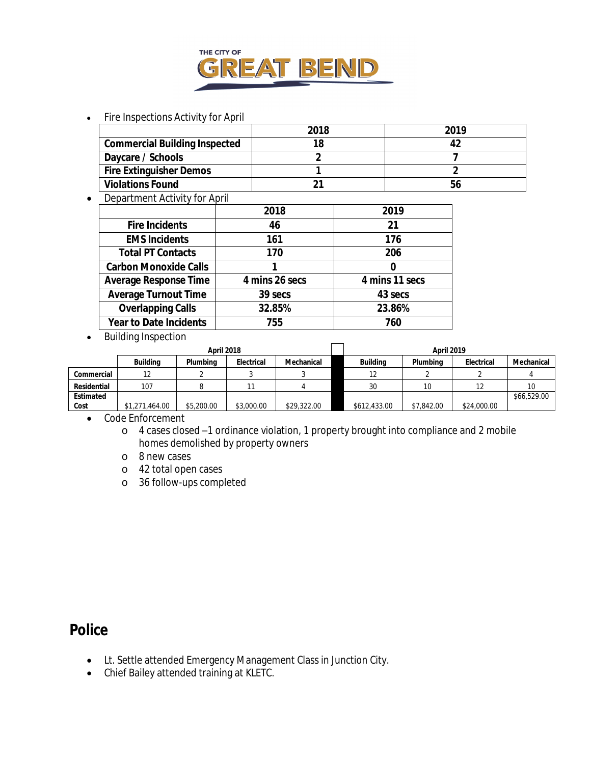

#### • Fire Inspections Activity for April

|                                      | 2018 | 2019 |
|--------------------------------------|------|------|
| <b>Commercial Building Inspected</b> |      |      |
| Daycare / Schools                    |      |      |
| <b>Fire Extinguisher Demos</b>       |      |      |
| <b>Violations Found</b>              |      | b6   |

• Department Activity for April

| 2019           |
|----------------|
|                |
|                |
|                |
|                |
|                |
| 4 mins 11 secs |
| 43 secs        |
| 23.86%         |
|                |
|                |

• Building Inspection

|             | April 2018      |            |            |             | <b>April 2019</b> |            |             |             |
|-------------|-----------------|------------|------------|-------------|-------------------|------------|-------------|-------------|
|             | <b>Building</b> | Plumbing   | Electrical | Mechanical  | <b>Building</b>   | Plumbina   | Electrical  | Mechanical  |
| Commercial  | 12              |            |            |             | 12                |            |             |             |
| Residential | 107             |            |            |             | 30                | 10         |             |             |
| Estimated   |                 |            |            |             |                   |            |             | \$66,529.00 |
| Cost        | \$1,271,464.00  | \$5,200.00 | \$3,000.00 | \$29,322.00 | \$612,433.00      | \$7,842.00 | \$24,000.00 |             |

Code Enforcement

- o 4 cases closed –1 ordinance violation, 1 property brought into compliance and 2 mobile homes demolished by property owners
- o 8 new cases
- o 42 total open cases
- o 36 follow-ups completed

### **Police**

- Lt. Settle attended Emergency Management Class in Junction City.
- Chief Bailey attended training at KLETC.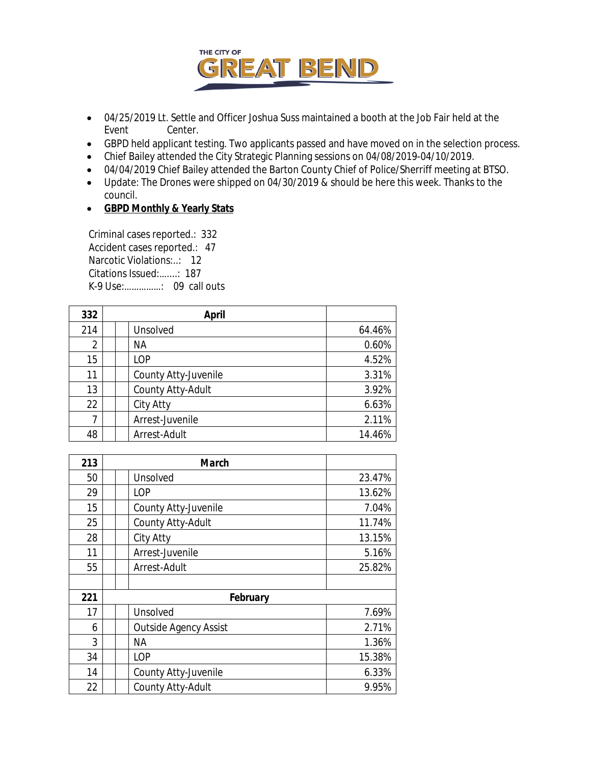

- 04/25/2019 Lt. Settle and Officer Joshua Suss maintained a booth at the Job Fair held at the Event Center.
- GBPD held applicant testing. Two applicants passed and have moved on in the selection process.
- Chief Bailey attended the City Strategic Planning sessions on 04/08/2019-04/10/2019.
- 04/04/2019 Chief Bailey attended the Barton County Chief of Police/Sherriff meeting at BTSO.
- Update: The Drones were shipped on 04/30/2019 & should be here this week. Thanks to the council.
- **GBPD Monthly & Yearly Stats**

 Criminal cases reported.: 332 Accident cases reported.: 47 Narcotic Violations:..: 12 Citations Issued:…....: 187 K-9 Use:……………: 09 call outs

| 332            | <b>April</b>         |        |
|----------------|----------------------|--------|
| 214            | Unsolved             | 64.46% |
| $\overline{2}$ | ΝA                   | 0.60%  |
| 15             | LOP                  | 4.52%  |
| 11             | County Atty-Juvenile | 3.31%  |
| 13             | County Atty-Adult    | 3.92%  |
| 22             | City Atty            | 6.63%  |
| 7              | Arrest-Juvenile      | 2.11%  |
| 48             | Arrest-Adult         | 14.46% |

| 213 | <b>March</b>                 |        |  |
|-----|------------------------------|--------|--|
| 50  | Unsolved                     | 23.47% |  |
| 29  | LOP                          | 13.62% |  |
| 15  | County Atty-Juvenile         | 7.04%  |  |
| 25  | County Atty-Adult            | 11.74% |  |
| 28  | City Atty                    | 13.15% |  |
| 11  | Arrest-Juvenile              | 5.16%  |  |
| 55  | Arrest-Adult                 | 25.82% |  |
|     |                              |        |  |
| 221 | February                     |        |  |
| 17  | Unsolved                     | 7.69%  |  |
| 6   | <b>Outside Agency Assist</b> | 2.71%  |  |
| 3   | ΝA                           | 1.36%  |  |
| 34  | LOP                          | 15.38% |  |
| 14  | County Atty-Juvenile         | 6.33%  |  |
| 22  | County Atty-Adult            | 9.95%  |  |